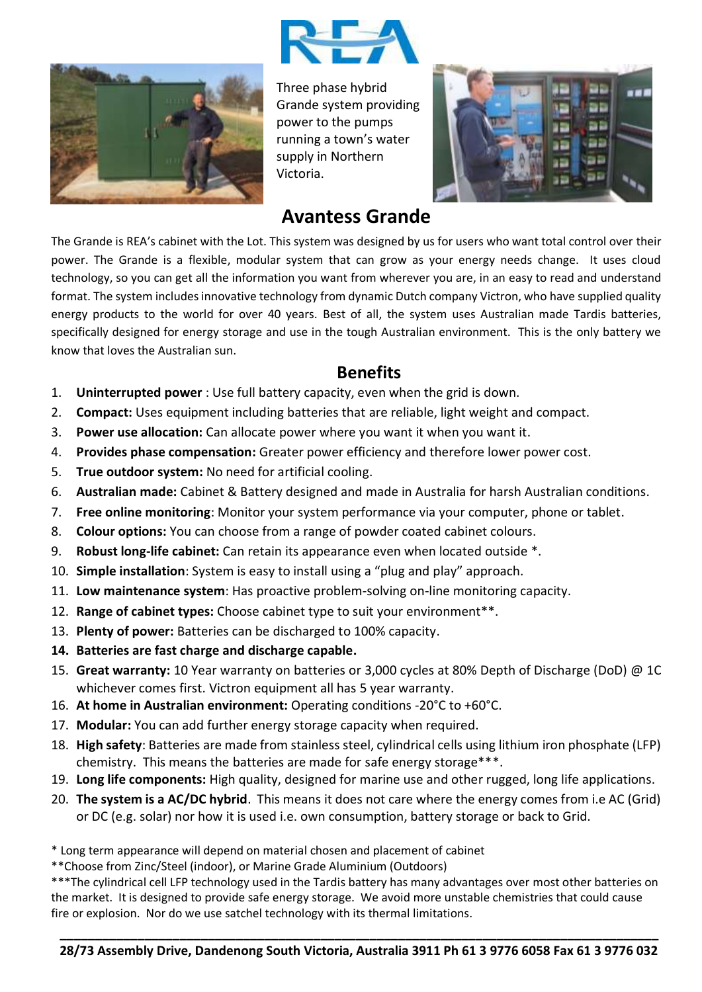



Three phase hybrid Grande system providing power to the pumps running a town's water supply in Northern Victoria.



## **Avantess Grande**

The Grande is REA's cabinet with the Lot. This system was designed by us for users who want total control over their power. The Grande is a flexible, modular system that can grow as your energy needs change. It uses cloud technology, so you can get all the information you want from wherever you are, in an easy to read and understand format. The system includes innovative technology from dynamic Dutch company Victron, who have supplied quality energy products to the world for over 40 years. Best of all, the system uses Australian made Tardis batteries, specifically designed for energy storage and use in the tough Australian environment. This is the only battery we know that loves the Australian sun.

## **Benefits**

- 1. **Uninterrupted power** : Use full battery capacity, even when the grid is down.
- 2. **Compact:** Uses equipment including batteries that are reliable, light weight and compact.
- 3. **Power use allocation:** Can allocate power where you want it when you want it.
- 4. **Provides phase compensation:** Greater power efficiency and therefore lower power cost.
- 5. **True outdoor system:** No need for artificial cooling.
- 6. **Australian made:** Cabinet & Battery designed and made in Australia for harsh Australian conditions.
- 7. **Free online monitoring**: Monitor your system performance via your computer, phone or tablet.
- 8. **Colour options:** You can choose from a range of powder coated cabinet colours.
- 9. **Robust long-life cabinet:** Can retain its appearance even when located outside \*.
- 10. **Simple installation**: System is easy to install using a "plug and play" approach.
- 11. **Low maintenance system**: Has proactive problem-solving on-line monitoring capacity.
- 12. **Range of cabinet types:** Choose cabinet type to suit your environment\*\*.
- 13. **Plenty of power:** Batteries can be discharged to 100% capacity.
- **14. Batteries are fast charge and discharge capable.**
- 15. **Great warranty:** 10 Year warranty on batteries or 3,000 cycles at 80% Depth of Discharge (DoD) @ 1C whichever comes first. Victron equipment all has 5 year warranty.
- 16. **At home in Australian environment:** Operating conditions -20°C to +60°C.
- 17. **Modular:** You can add further energy storage capacity when required.
- 18. **High safety**: Batteries are made from stainless steel, cylindrical cells using lithium iron phosphate (LFP) chemistry. This means the batteries are made for safe energy storage\*\*\*.
- 19. **Long life components:** High quality, designed for marine use and other rugged, long life applications.
- 20. **The system is a AC/DC hybrid**. This means it does not care where the energy comes from i.e AC (Grid) or DC (e.g. solar) nor how it is used i.e. own consumption, battery storage or back to Grid.
- \* Long term appearance will depend on material chosen and placement of cabinet
- \*\*Choose from Zinc/Steel (indoor), or Marine Grade Aluminium (Outdoors)

\*\*\*The cylindrical cell LFP technology used in the Tardis battery has many advantages over most other batteries on the market. It is designed to provide safe energy storage. We avoid more unstable chemistries that could cause fire or explosion. Nor do we use satchel technology with its thermal limitations.